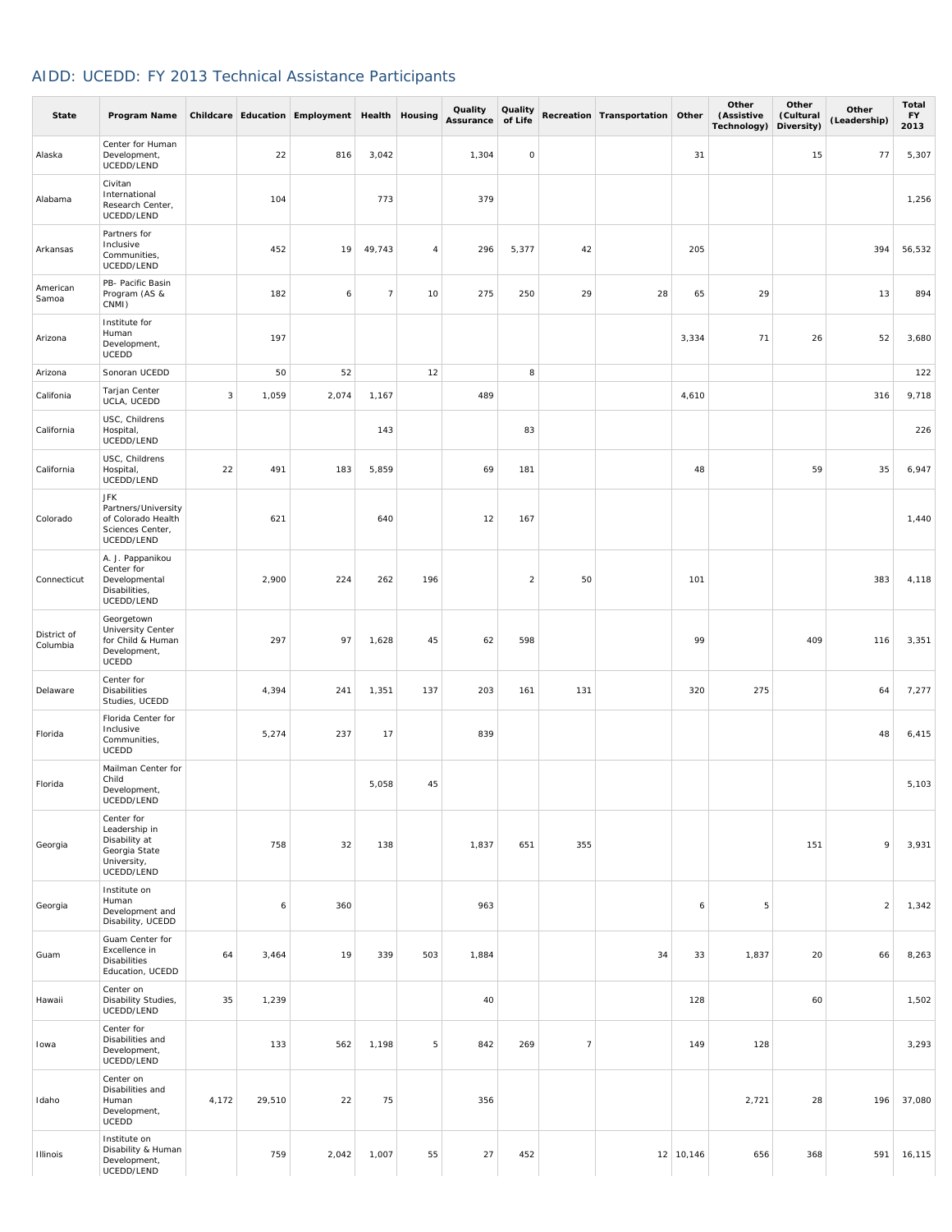## AIDD: UCEDD: FY 2013 Technical Assistance Participants

| <b>State</b>            | Program Name                                                                               |       |        | Childcare Education Employment Health Housing |                |     | Quality<br>Assurance | Quality<br>of Life  |                | Recreation Transportation Other |             | Other<br>(Assistive<br>Technology) | Other<br>(Cultural<br>Diversity) | Other<br>(Leadership) | Total<br><b>FY</b><br>2013 |
|-------------------------|--------------------------------------------------------------------------------------------|-------|--------|-----------------------------------------------|----------------|-----|----------------------|---------------------|----------------|---------------------------------|-------------|------------------------------------|----------------------------------|-----------------------|----------------------------|
| Alaska                  | Center for Human<br>Development,<br>UCEDD/LEND                                             |       | 22     | 816                                           | 3,042          |     | 1,304                | $\mathsf{O}\xspace$ |                |                                 | 31          |                                    | 15                               | 77                    | 5,307                      |
| Alabama                 | Civitan<br>International<br>Research Center,<br>UCEDD/LEND                                 |       | 104    |                                               | 773            |     | 379                  |                     |                |                                 |             |                                    |                                  |                       | 1,256                      |
| Arkansas                | Partners for<br>Inclusive<br>Communities,<br>UCEDD/LEND                                    |       | 452    | 19                                            | 49,743         | 4   | 296                  | 5,377               | 42             |                                 | 205         |                                    |                                  | 394                   | 56,532                     |
| American<br>Samoa       | PB- Pacific Basin<br>Program (AS &<br>CNMI)                                                |       | 182    | 6                                             | $\overline{7}$ | 10  | 275                  | 250                 | 29             | 28                              | 65          | 29                                 |                                  | 13                    | 894                        |
| Arizona                 | Institute for<br>Human<br>Development,<br>UCEDD                                            |       | 197    |                                               |                |     |                      |                     |                |                                 | 3,334       | 71                                 | 26                               | 52                    | 3,680                      |
| Arizona                 | Sonoran UCEDD                                                                              |       | 50     | 52                                            |                | 12  |                      | 8                   |                |                                 |             |                                    |                                  |                       | 122                        |
| Califonia               | Tarjan Center<br>UCLA, UCEDD                                                               | 3     | 1,059  | 2,074                                         | 1,167          |     | 489                  |                     |                |                                 | 4,610       |                                    |                                  | 316                   | 9,718                      |
| California              | USC, Childrens<br>Hospital,<br>UCEDD/LEND                                                  |       |        |                                               | 143            |     |                      | 83                  |                |                                 |             |                                    |                                  |                       | 226                        |
| California              | USC, Childrens<br>Hospital,<br>UCEDD/LEND                                                  | 22    | 491    | 183                                           | 5,859          |     | 69                   | 181                 |                |                                 | 48          |                                    | 59                               | 35                    | 6,947                      |
| Colorado                | <b>JFK</b><br>Partners/University<br>of Colorado Health<br>Sciences Center,<br>UCEDD/LEND  |       | 621    |                                               | 640            |     | 12                   | 167                 |                |                                 |             |                                    |                                  |                       | 1,440                      |
| Connecticut             | A. J. Pappanikou<br>Center for<br>Developmental<br>Disabilities,<br>UCEDD/LEND             |       | 2,900  | 224                                           | 262            | 196 |                      | $\overline{2}$      | 50             |                                 | 101         |                                    |                                  | 383                   | 4,118                      |
| District of<br>Columbia | Georgetown<br>University Center<br>for Child & Human<br>Development,<br>UCEDD              |       | 297    | 97                                            | 1,628          | 45  | 62                   | 598                 |                |                                 | 99          |                                    | 409                              | 116                   | 3,351                      |
| Delaware                | Center for<br>Disabilities<br>Studies, UCEDD                                               |       | 4,394  | 241                                           | 1,351          | 137 | 203                  | 161                 | 131            |                                 | 320         | 275                                |                                  | 64                    | 7,277                      |
| Florida                 | Florida Center for<br>Inclusive<br>Communities,<br><b>UCEDD</b>                            |       | 5,274  | 237                                           | 17             |     | 839                  |                     |                |                                 |             |                                    |                                  | 48                    | 6,415                      |
| Florida                 | Mailman Center for<br>Child<br>Development,<br>UCEDD/LEND                                  |       |        |                                               | 5,058          | 45  |                      |                     |                |                                 |             |                                    |                                  |                       | 5,103                      |
| Georgia                 | Center for<br>Leadership in<br>Disability at<br>Georgia State<br>University,<br>UCEDD/LEND |       | 758    | 32                                            | 138            |     | 1,837                | 651                 | 355            |                                 |             |                                    | 151                              | 9                     | 3,931                      |
| Georgia                 | Institute on<br>Human<br>Development and<br>Disability, UCEDD                              |       | 6      | 360                                           |                |     | 963                  |                     |                |                                 | 6           | 5                                  |                                  | $\overline{2}$        | 1,342                      |
| Guam                    | Guam Center for<br>Excellence in<br>Disabilities<br>Education, UCEDD                       | 64    | 3,464  | 19                                            | 339            | 503 | 1,884                |                     |                | 34                              | 33          | 1,837                              | 20                               | 66                    | 8,263                      |
| Hawaii                  | Center on<br>Disability Studies,<br>UCEDD/LEND                                             | 35    | 1,239  |                                               |                |     | 40                   |                     |                |                                 | 128         |                                    | 60                               |                       | 1,502                      |
| lowa                    | Center for<br>Disabilities and<br>Development,<br>UCEDD/LEND                               |       | 133    | 562                                           | 1,198          | 5   | 842                  | 269                 | $\overline{7}$ |                                 | 149         | 128                                |                                  |                       | 3,293                      |
| Idaho                   | Center on<br>Disabilities and<br>Human<br>Development,<br>UCEDD                            | 4,172 | 29,510 | 22                                            | 75             |     | 356                  |                     |                |                                 |             | 2,721                              | 28                               | 196                   | 37,080                     |
| <b>Illinois</b>         | Institute on<br>Disability & Human<br>Development,<br>UCEDD/LEND                           |       | 759    | 2,042                                         | 1,007          | 55  | 27                   | 452                 |                |                                 | $12$ 10,146 | 656                                | 368                              | 591                   | 16,115                     |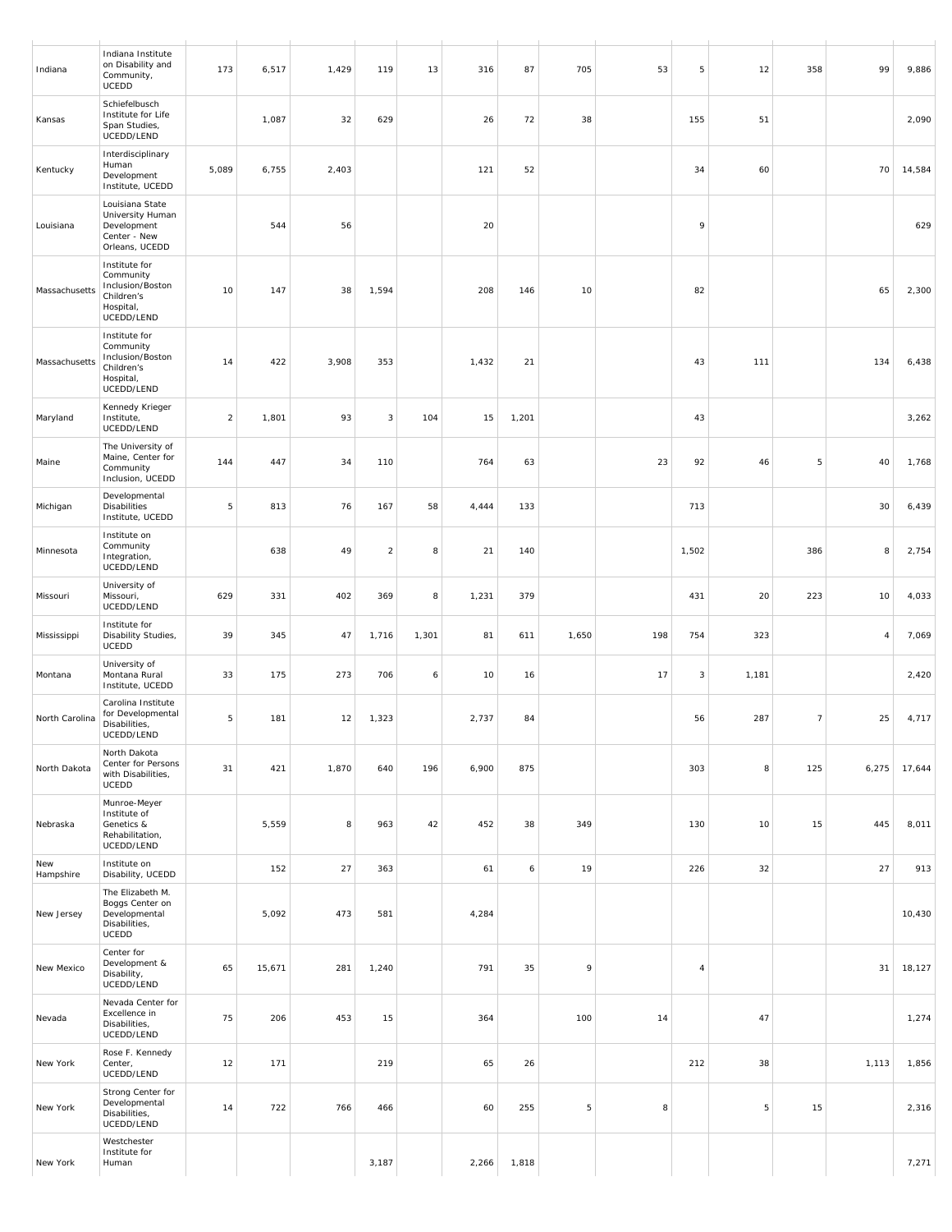| Indiana          | Indiana Institute<br>on Disability and<br>Community,<br>UCEDD                           | 173            | 6,517  | 1,429 | 119            | 13    | 316   | 87    | 705   | 53  | 5     | 12    | 358            | 99             | 9,886  |
|------------------|-----------------------------------------------------------------------------------------|----------------|--------|-------|----------------|-------|-------|-------|-------|-----|-------|-------|----------------|----------------|--------|
| Kansas           | Schiefelbusch<br>Institute for Life<br>Span Studies,<br>UCEDD/LEND                      |                | 1,087  | 32    | 629            |       | 26    | 72    | 38    |     | 155   | 51    |                |                | 2,090  |
| Kentucky         | Interdisciplinary<br>Human<br>Development<br>Institute, UCEDD                           | 5,089          | 6,755  | 2,403 |                |       | 121   | 52    |       |     | 34    | 60    |                | 70             | 14,584 |
| Louisiana        | Louisiana State<br>University Human<br>Development<br>Center - New<br>Orleans, UCEDD    |                | 544    | 56    |                |       | 20    |       |       |     | 9     |       |                |                | 629    |
| Massachusetts    | Institute for<br>Community<br>Inclusion/Boston<br>Children's<br>Hospital,<br>UCEDD/LEND | 10             | 147    | 38    | 1,594          |       | 208   | 146   | 10    |     | 82    |       |                | 65             | 2,300  |
| Massachusetts    | Institute for<br>Community<br>Inclusion/Boston<br>Children's<br>Hospital,<br>UCEDD/LEND | 14             | 422    | 3,908 | 353            |       | 1,432 | 21    |       |     | 43    | 111   |                | 134            | 6,438  |
| Maryland         | Kennedy Krieger<br>Institute,<br>UCEDD/LEND                                             | $\overline{a}$ | 1,801  | 93    | 3              | 104   | 15    | 1,201 |       |     | 43    |       |                |                | 3,262  |
| Maine            | The University of<br>Maine, Center for<br>Community<br>Inclusion, UCEDD                 | 144            | 447    | 34    | 110            |       | 764   | 63    |       | 23  | 92    | 46    | 5              | 40             | 1,768  |
| Michigan         | Developmental<br>Disabilities<br>Institute, UCEDD                                       | 5              | 813    | 76    | 167            | 58    | 4,444 | 133   |       |     | 713   |       |                | 30             | 6,439  |
| Minnesota        | Institute on<br>Community<br>Integration,<br>UCEDD/LEND                                 |                | 638    | 49    | $\overline{2}$ | 8     | 21    | 140   |       |     | 1,502 |       | 386            | 8              | 2,754  |
| Missouri         | University of<br>Missouri,<br>UCEDD/LEND                                                | 629            | 331    | 402   | 369            | 8     | 1,231 | 379   |       |     | 431   | 20    | 223            | 10             | 4,033  |
| Mississippi      | Institute for<br>Disability Studies,<br>UCEDD                                           | 39             | 345    | 47    | 1,716          | 1,301 | 81    | 611   | 1,650 | 198 | 754   | 323   |                | $\overline{4}$ | 7,069  |
| Montana          | University of<br>Montana Rural<br>Institute, UCEDD                                      | 33             | 175    | 273   | 706            | 6     | 10    | 16    |       | 17  | 3     | 1,181 |                |                | 2,420  |
| North Carolina   | Carolina Institute<br>for Developmental<br>Disabilities,<br>UCEDD/LEND                  | 5              | 181    | 12    | 1,323          |       | 2,737 | 84    |       |     | 56    | 287   | $\overline{7}$ | 25             | 4,717  |
| North Dakota     | North Dakota<br>Center for Persons<br>with Disabilities,<br>UCEDD                       | 31             | 421    | 1,870 | 640            | 196   | 6,900 | 875   |       |     | 303   | 8     | 125            | 6,275          | 17,644 |
| Nebraska         | Munroe-Meyer<br>Institute of<br>Genetics &<br>Rehabilitation,<br>UCEDD/LEND             |                | 5,559  | 8     | 963            | 42    | 452   | 38    | 349   |     | 130   | 10    | 15             | 445            | 8,011  |
| New<br>Hampshire | Institute on<br>Disability, UCEDD                                                       |                | 152    | 27    | 363            |       | 61    | 6     | 19    |     | 226   | 32    |                | 27             | 913    |
| New Jersey       | The Elizabeth M.<br>Boggs Center on<br>Developmental<br>Disabilities,<br><b>UCEDD</b>   |                | 5,092  | 473   | 581            |       | 4,284 |       |       |     |       |       |                |                | 10,430 |
| New Mexico       | Center for<br>Development &<br>Disability,<br>UCEDD/LEND                                | 65             | 15,671 | 281   | 1,240          |       | 791   | 35    | 9     |     | 4     |       |                | 31             | 18,127 |
| Nevada           | Nevada Center for<br>Excellence in<br>Disabilities,<br>UCEDD/LEND                       | 75             | 206    | 453   | 15             |       | 364   |       | 100   | 14  |       | 47    |                |                | 1,274  |
| New York         | Rose F. Kennedy<br>Center,<br>UCEDD/LEND                                                | 12             | 171    |       | 219            |       | 65    | 26    |       |     | 212   | 38    |                | 1,113          | 1,856  |
| New York         | Strong Center for<br>Developmental<br>Disabilities,<br>UCEDD/LEND                       | 14             | 722    | 766   | 466            |       | 60    | 255   | 5     | 8   |       | 5     | 15             |                | 2,316  |
| New York         | Westchester<br>Institute for<br>Human                                                   |                |        |       | 3,187          |       | 2,266 | 1,818 |       |     |       |       |                |                | 7,271  |